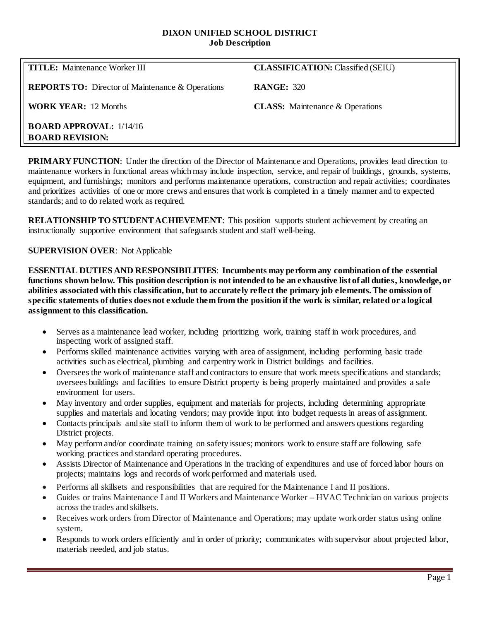#### **DIXON UNIFIED SCHOOL DISTRICT Job Description**

| <b>TITLE:</b> Maintenance Worker III                       | <b>CLASSIFICATION:</b> Classified (SEIU) |
|------------------------------------------------------------|------------------------------------------|
| <b>REPORTS TO:</b> Director of Maintenance & Operations    | <b>RANGE: 320</b>                        |
| <b>WORK YEAR:</b> 12 Months                                | <b>CLASS:</b> Maintenance & Operations   |
| <b>BOARD APPROVAL:</b> $1/14/16$<br><b>BOARD REVISION:</b> |                                          |

**PRIMARY FUNCTION:** Under the direction of the Director of Maintenance and Operations, provides lead direction to maintenance workers in functional areas which may include inspection, service, and repair of buildings, grounds, systems, equipment, and furnishings; monitors and performs maintenance operations, construction and repair activities; coordinates and prioritizes activities of one or more crews and ensures that work is completed in a timely manner and to expected standards; and to do related work as required.

**RELATIONSHIP TO STUDENT ACHIEVEMENT**: This position supports student achievement by creating an instructionally supportive environment that safeguards student and staff well-being.

## **SUPERVISION OVER**: Not Applicable

**ESSENTIAL DUTIES AND RESPONSIBILITIES**: **Incumbents may perform any combination of the essential functions shown below. This position description is not intended to be an exhaustive list of all duties, knowledge, or abilities associated with this classification, but to accurately reflect the primary job elements. The omission of specific statements of duties does not exclude them from the position if the work is similar, related or a logical assignment to this classification.**

- Serves as a maintenance lead worker, including prioritizing work, training staff in work procedures, and inspecting work of assigned staff.
- Performs skilled maintenance activities varying with area of assignment, including performing basic trade activities such as electrical, plumbing and carpentry work in District buildings and facilities.
- Oversees the work of maintenance staff and contractors to ensure that work meets specifications and standards; oversees buildings and facilities to ensure District property is being properly maintained and provides a safe environment for users.
- May inventory and order supplies, equipment and materials for projects, including determining appropriate supplies and materials and locating vendors; may provide input into budget requests in areas of assignment.
- Contacts principals and site staff to inform them of work to be performed and answers questions regarding District projects.
- May perform and/or coordinate training on safety issues; monitors work to ensure staff are following safe working practices and standard operating procedures.
- Assists Director of Maintenance and Operations in the tracking of expenditures and use of forced labor hours on projects; maintains logs and records of work performed and materials used.
- Performs all skillsets and responsibilities that are required for the Maintenance I and II positions.
- Guides or trains Maintenance I and II Workers and Maintenance Worker HVAC Technician on various projects across the trades and skillsets.
- Receives work orders from Director of Maintenance and Operations; may update work order status using online system.
- Responds to work orders efficiently and in order of priority; communicates with supervisor about projected labor, materials needed, and job status.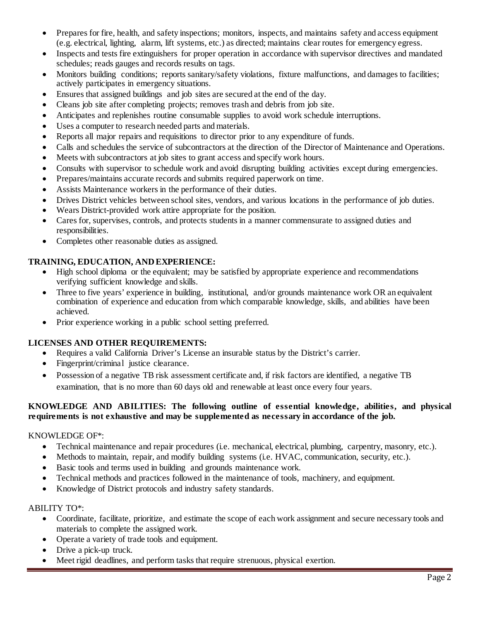- Prepares for fire, health, and safety inspections; monitors, inspects, and maintains safety and access equipment (e.g. electrical, lighting, alarm, lift systems, etc.) as directed; maintains clear routes for emergency egress.
- Inspects and tests fire extinguishers for proper operation in accordance with supervisor directives and mandated schedules; reads gauges and records results on tags.
- Monitors building conditions; reports sanitary/safety violations, fixture malfunctions, and damages to facilities; actively participates in emergency situations.
- Ensures that assigned buildings and job sites are secured at the end of the day.
- Cleans job site after completing projects; removes trash and debris from job site.
- Anticipates and replenishes routine consumable supplies to avoid work schedule interruptions.
- Uses a computer to research needed parts and materials.
- Reports all major repairs and requisitions to director prior to any expenditure of funds.
- Calls and schedules the service of subcontractors at the direction of the Director of Maintenance and Operations.
- Meets with subcontractors at job sites to grant access and specify work hours.
- Consults with supervisor to schedule work and avoid disrupting building activities except during emergencies.
- Prepares/maintains accurate records and submits required paperwork on time.
- Assists Maintenance workers in the performance of their duties.
- Drives District vehicles between school sites, vendors, and various locations in the performance of job duties.
- Wears District-provided work attire appropriate for the position.
- Cares for, supervises, controls, and protects students in a manner commensurate to assigned duties and responsibilities.
- Completes other reasonable duties as assigned.

## **TRAINING, EDUCATION, AND EXPERIENCE:**

- High school diploma or the equivalent; may be satisfied by appropriate experience and recommendations verifying sufficient knowledge and skills.
- Three to five years' experience in building, institutional, and/or grounds maintenance work OR an equivalent combination of experience and education from which comparable knowledge, skills, and abilities have been achieved.
- Prior experience working in a public school setting preferred.

# **LICENSES AND OTHER REQUIREMENTS:**

- Requires a valid California Driver's License an insurable status by the District's carrier.
- Fingerprint/criminal justice clearance.
- Possession of a negative TB risk assessment certificate and, if risk factors are identified, a negative TB examination, that is no more than 60 days old and renewable at least once every four years.

## **KNOWLEDGE AND ABILITIES: The following outline of essential knowledge, abilities, and physical requirements is not exhaustive and may be supplemented as necessary in accordance of the job.**

## KNOWLEDGE OF\*:

- Technical maintenance and repair procedures (i.e. mechanical, electrical, plumbing, carpentry, masonry, etc.).
- Methods to maintain, repair, and modify building systems (i.e. HVAC, communication, security, etc.).
- Basic tools and terms used in building and grounds maintenance work.
- Technical methods and practices followed in the maintenance of tools, machinery, and equipment.
- Knowledge of District protocols and industry safety standards.

## ABILITY TO\*:

- Coordinate, facilitate, prioritize, and estimate the scope of each work assignment and secure necessary tools and materials to complete the assigned work.
- Operate a variety of trade tools and equipment.
- Drive a pick-up truck.
- Meet rigid deadlines, and perform tasks that require strenuous, physical exertion.